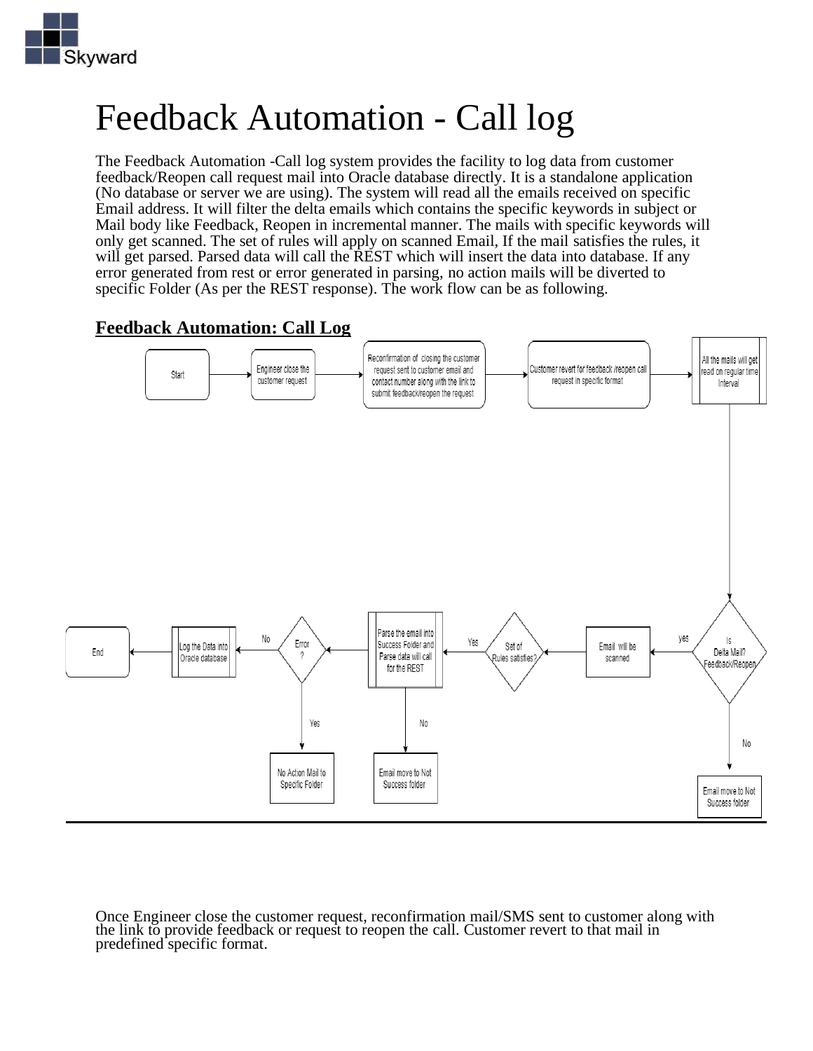

# Feedback Automation - Call log

The Feedback Automation -Call log system provides the facility to log data from customer feedback/Reopen call request mail into Oracle database directly. It is a standalone application (No database or server we are using). The system will read all the emails received on specific Email address. It will filter the delta emails which contains the specific keywords in subject or Mail body like Feedback, Reopen in incremental manner. The mails with specific keywords will only get scanned. The set of rules will apply on scanned Email, If the mail satisfies the rules, it will get parsed. Parsed data will call the REST which will insert the data into database. If any error generated from rest or error generated in parsing, no action mails will be diverted to specific Folder (As per the REST response). The work flow can be as following.

### **Feedback Automation: Call Log**



Once Engineer close the customer request, reconfirmation mail/SMS sent to customer along with the link to provide feedback or request to reopen the call. Customer revert to that mail in predefined specific format.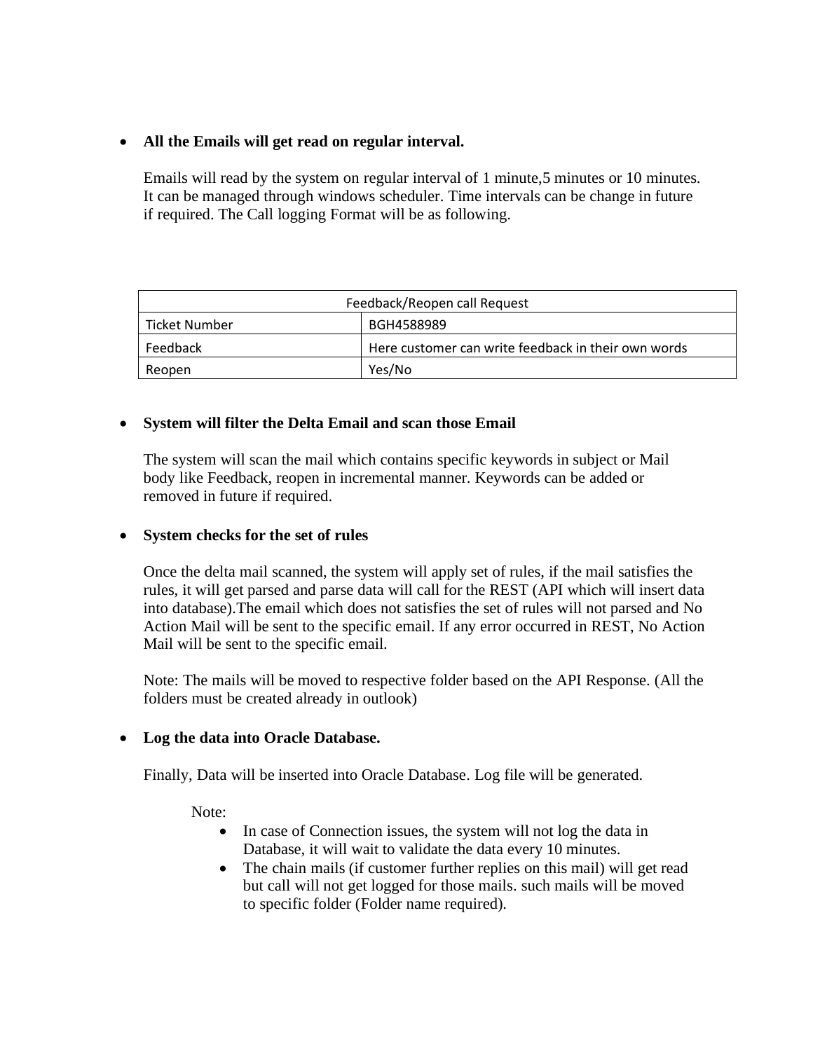#### • **All the Emails will get read on regular interval.**

Emails will read by the system on regular interval of 1 minute,5 minutes or 10 minutes. It can be managed through windows scheduler. Time intervals can be change in future if required. The Call logging Format will be as following.

| Feedback/Reopen call Request |                                                     |
|------------------------------|-----------------------------------------------------|
| Ticket Number                | BGH4588989                                          |
| Feedback                     | Here customer can write feedback in their own words |
| Reopen                       | Yes/No                                              |

#### • **System will filter the Delta Email and scan those Email**

The system will scan the mail which contains specific keywords in subject or Mail body like Feedback, reopen in incremental manner. Keywords can be added or removed in future if required.

#### • **System checks for the set of rules**

Once the delta mail scanned, the system will apply set of rules, if the mail satisfies the rules, it will get parsed and parse data will call for the REST (API which will insert data into database).The email which does not satisfies the set of rules will not parsed and No Action Mail will be sent to the specific email. If any error occurred in REST, No Action Mail will be sent to the specific email.

Note: The mails will be moved to respective folder based on the API Response. (All the folders must be created already in outlook)

#### • **Log the data into Oracle Database.**

Finally, Data will be inserted into Oracle Database. Log file will be generated.

Note:

- In case of Connection issues, the system will not log the data in Database, it will wait to validate the data every 10 minutes.
- The chain mails (if customer further replies on this mail) will get read but call will not get logged for those mails. such mails will be moved to specific folder (Folder name required).